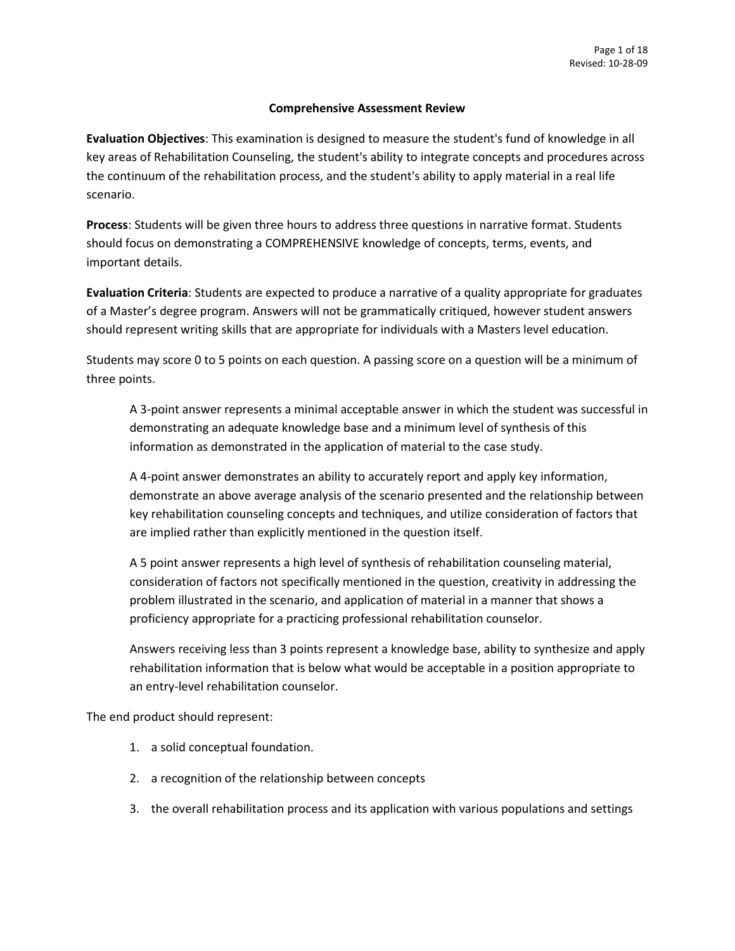### **Comprehensive Assessment Review**

**Evaluation Objectives**: This examination is designed to measure the student's fund of knowledge in all key areas of Rehabilitation Counseling, the student's ability to integrate concepts and procedures across the continuum of the rehabilitation process, and the student's ability to apply material in a real life scenario.

**Process**: Students will be given three hours to address three questions in narrative format. Students should focus on demonstrating a COMPREHENSIVE knowledge of concepts, terms, events, and important details.

**Evaluation Criteria**: Students are expected to produce a narrative of a quality appropriate for graduates of a Master's degree program. Answers will not be grammatically critiqued, however student answers should represent writing skills that are appropriate for individuals with a Masters level education.

Students may score 0 to 5 points on each question. A passing score on a question will be a minimum of three points.

A 3-point answer represents a minimal acceptable answer in which the student was successful in demonstrating an adequate knowledge base and a minimum level of synthesis of this information as demonstrated in the application of material to the case study.

A 4-point answer demonstrates an ability to accurately report and apply key information, demonstrate an above average analysis of the scenario presented and the relationship between key rehabilitation counseling concepts and techniques, and utilize consideration of factors that are implied rather than explicitly mentioned in the question itself.

A 5 point answer represents a high level of synthesis of rehabilitation counseling material, consideration of factors not specifically mentioned in the question, creativity in addressing the problem illustrated in the scenario, and application of material in a manner that shows a proficiency appropriate for a practicing professional rehabilitation counselor.

Answers receiving less than 3 points represent a knowledge base, ability to synthesize and apply rehabilitation information that is below what would be acceptable in a position appropriate to an entry-level rehabilitation counselor.

The end product should represent:

- 1. a solid conceptual foundation.
- 2. a recognition of the relationship between concepts
- 3. the overall rehabilitation process and its application with various populations and settings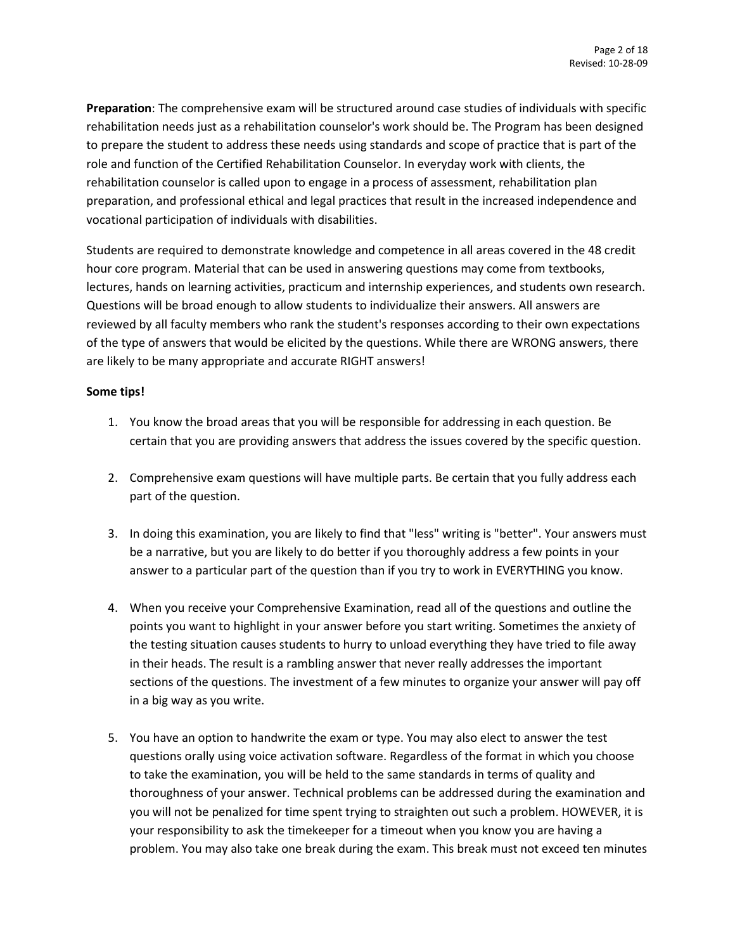**Preparation**: The comprehensive exam will be structured around case studies of individuals with specific rehabilitation needs just as a rehabilitation counselor's work should be. The Program has been designed to prepare the student to address these needs using standards and scope of practice that is part of the role and function of the Certified Rehabilitation Counselor. In everyday work with clients, the rehabilitation counselor is called upon to engage in a process of assessment, rehabilitation plan preparation, and professional ethical and legal practices that result in the increased independence and vocational participation of individuals with disabilities.

Students are required to demonstrate knowledge and competence in all areas covered in the 48 credit hour core program. Material that can be used in answering questions may come from textbooks, lectures, hands on learning activities, practicum and internship experiences, and students own research. Questions will be broad enough to allow students to individualize their answers. All answers are reviewed by all faculty members who rank the student's responses according to their own expectations of the type of answers that would be elicited by the questions. While there are WRONG answers, there are likely to be many appropriate and accurate RIGHT answers!

### **Some tips!**

- 1. You know the broad areas that you will be responsible for addressing in each question. Be certain that you are providing answers that address the issues covered by the specific question.
- 2. Comprehensive exam questions will have multiple parts. Be certain that you fully address each part of the question.
- 3. In doing this examination, you are likely to find that "less" writing is "better". Your answers must be a narrative, but you are likely to do better if you thoroughly address a few points in your answer to a particular part of the question than if you try to work in EVERYTHING you know.
- 4. When you receive your Comprehensive Examination, read all of the questions and outline the points you want to highlight in your answer before you start writing. Sometimes the anxiety of the testing situation causes students to hurry to unload everything they have tried to file away in their heads. The result is a rambling answer that never really addresses the important sections of the questions. The investment of a few minutes to organize your answer will pay off in a big way as you write.
- 5. You have an option to handwrite the exam or type. You may also elect to answer the test questions orally using voice activation software. Regardless of the format in which you choose to take the examination, you will be held to the same standards in terms of quality and thoroughness of your answer. Technical problems can be addressed during the examination and you will not be penalized for time spent trying to straighten out such a problem. HOWEVER, it is your responsibility to ask the timekeeper for a timeout when you know you are having a problem. You may also take one break during the exam. This break must not exceed ten minutes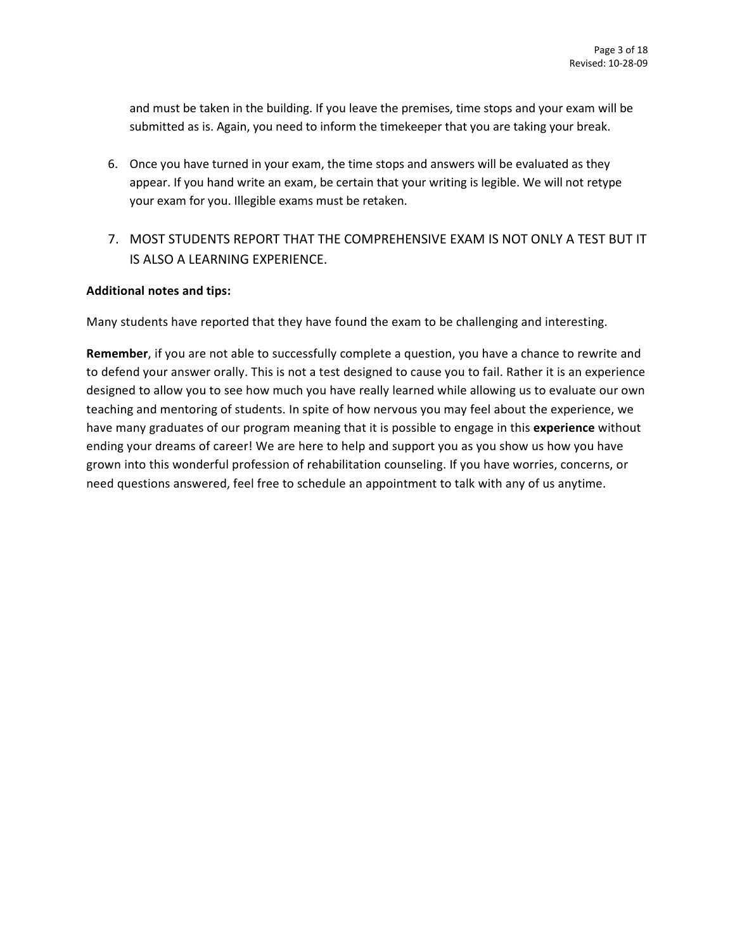and must be taken in the building. If you leave the premises, time stops and your exam will be submitted as is. Again, you need to inform the timekeeper that you are taking your break.

- 6. Once you have turned in your exam, the time stops and answers will be evaluated as they appear. If you hand write an exam, be certain that your writing is legible. We will not retype your exam for you. Illegible exams must be retaken.
- 7. MOST STUDENTS REPORT THAT THE COMPREHENSIVE EXAM IS NOT ONLY A TEST BUT IT IS ALSO A LEARNING EXPERIENCE.

## **Additional notes and tips:**

Many students have reported that they have found the exam to be challenging and interesting.

**Remember**, if you are not able to successfully complete a question, you have a chance to rewrite and to defend your answer orally. This is not a test designed to cause you to fail. Rather it is an experience designed to allow you to see how much you have really learned while allowing us to evaluate our own teaching and mentoring of students. In spite of how nervous you may feel about the experience, we have many graduates of our program meaning that it is possible to engage in this **experience** without ending your dreams of career! We are here to help and support you as you show us how you have grown into this wonderful profession of rehabilitation counseling. If you have worries, concerns, or need questions answered, feel free to schedule an appointment to talk with any of us anytime.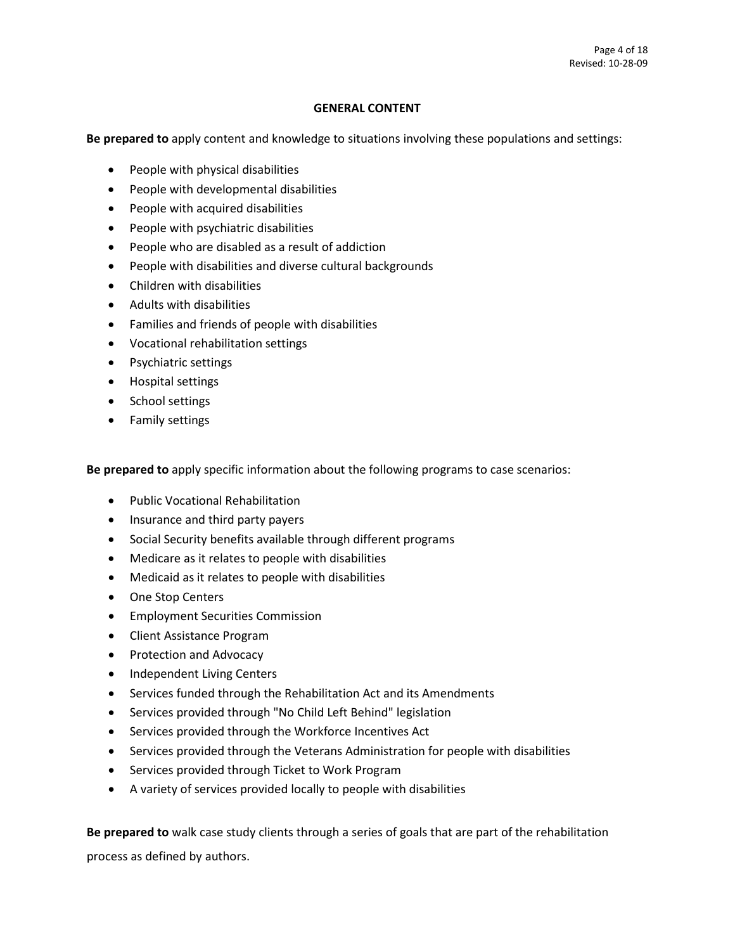### **GENERAL CONTENT**

**Be prepared to** apply content and knowledge to situations involving these populations and settings:

- People with physical disabilities
- People with developmental disabilities
- People with acquired disabilities
- People with psychiatric disabilities
- People who are disabled as a result of addiction
- People with disabilities and diverse cultural backgrounds
- Children with disabilities
- Adults with disabilities
- Families and friends of people with disabilities
- Vocational rehabilitation settings
- Psychiatric settings
- Hospital settings
- School settings
- Family settings

**Be prepared to** apply specific information about the following programs to case scenarios:

- Public Vocational Rehabilitation
- Insurance and third party payers
- Social Security benefits available through different programs
- Medicare as it relates to people with disabilities
- Medicaid as it relates to people with disabilities
- One Stop Centers
- Employment Securities Commission
- Client Assistance Program
- Protection and Advocacy
- Independent Living Centers
- Services funded through the Rehabilitation Act and its Amendments
- Services provided through "No Child Left Behind" legislation
- Services provided through the Workforce Incentives Act
- Services provided through the Veterans Administration for people with disabilities
- Services provided through Ticket to Work Program
- A variety of services provided locally to people with disabilities

**Be prepared to** walk case study clients through a series of goals that are part of the rehabilitation process as defined by authors.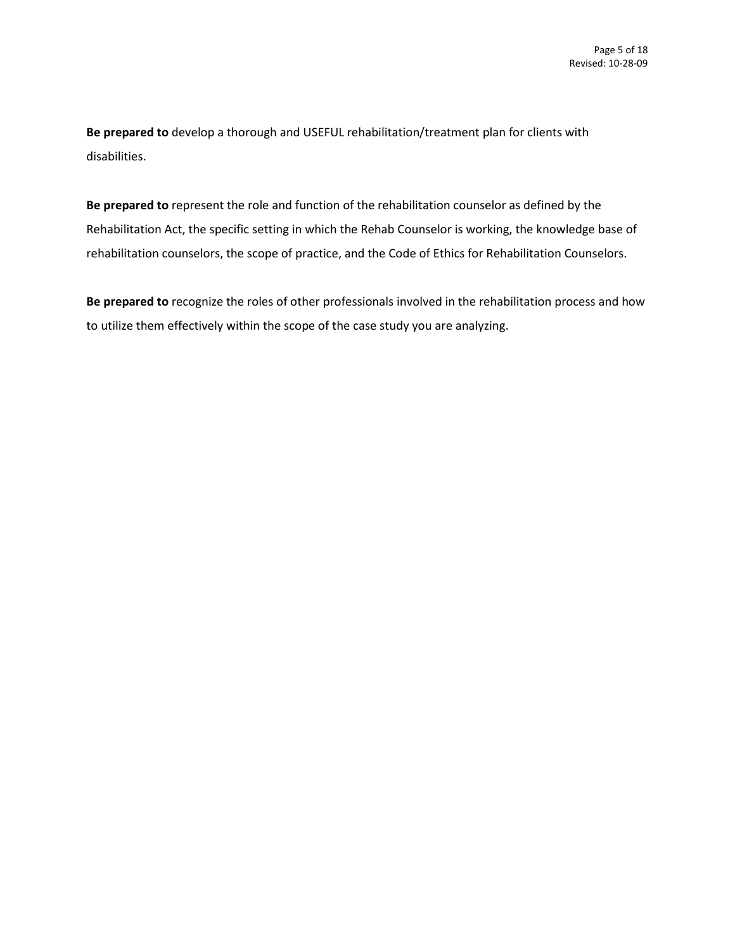**Be prepared to** develop a thorough and USEFUL rehabilitation/treatment plan for clients with disabilities.

**Be prepared to** represent the role and function of the rehabilitation counselor as defined by the Rehabilitation Act, the specific setting in which the Rehab Counselor is working, the knowledge base of rehabilitation counselors, the scope of practice, and the Code of Ethics for Rehabilitation Counselors.

**Be prepared to** recognize the roles of other professionals involved in the rehabilitation process and how to utilize them effectively within the scope of the case study you are analyzing.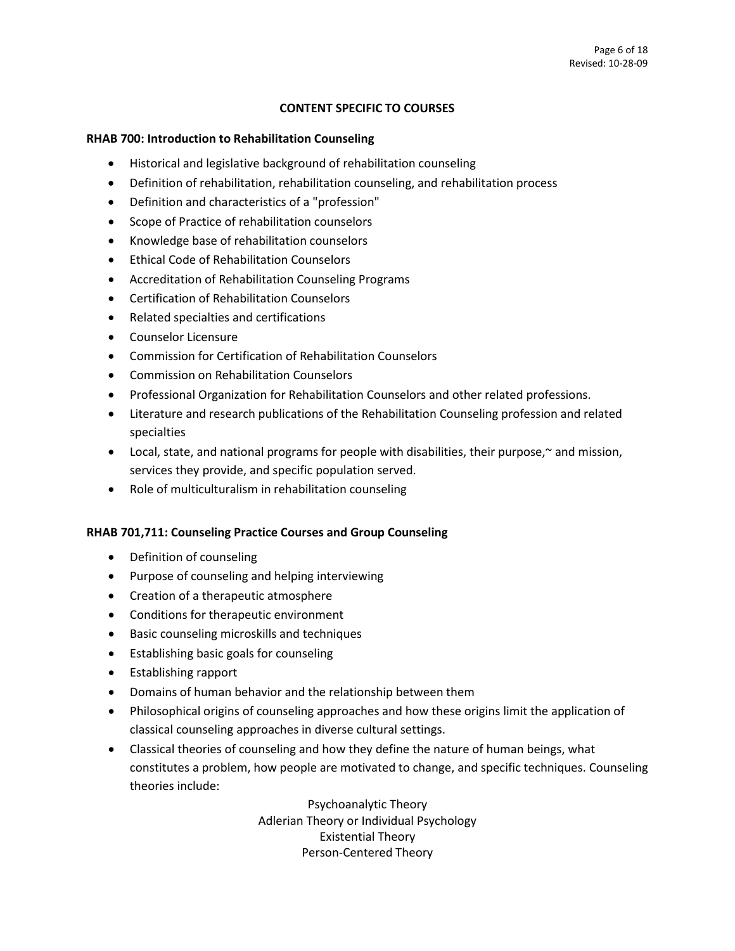## **CONTENT SPECIFIC TO COURSES**

#### **RHAB 700: Introduction to Rehabilitation Counseling**

- Historical and legislative background of rehabilitation counseling
- Definition of rehabilitation, rehabilitation counseling, and rehabilitation process
- Definition and characteristics of a "profession"
- Scope of Practice of rehabilitation counselors
- Knowledge base of rehabilitation counselors
- Ethical Code of Rehabilitation Counselors
- Accreditation of Rehabilitation Counseling Programs
- Certification of Rehabilitation Counselors
- Related specialties and certifications
- Counselor Licensure
- Commission for Certification of Rehabilitation Counselors
- Commission on Rehabilitation Counselors
- Professional Organization for Rehabilitation Counselors and other related professions.
- Literature and research publications of the Rehabilitation Counseling profession and related specialties
- Local, state, and national programs for people with disabilities, their purpose,~ and mission, services they provide, and specific population served.
- Role of multiculturalism in rehabilitation counseling

## **RHAB 701,711: Counseling Practice Courses and Group Counseling**

- Definition of counseling
- Purpose of counseling and helping interviewing
- Creation of a therapeutic atmosphere
- Conditions for therapeutic environment
- Basic counseling microskills and techniques
- Establishing basic goals for counseling
- Establishing rapport
- Domains of human behavior and the relationship between them
- Philosophical origins of counseling approaches and how these origins limit the application of classical counseling approaches in diverse cultural settings.
- Classical theories of counseling and how they define the nature of human beings, what constitutes a problem, how people are motivated to change, and specific techniques. Counseling theories include:

Psychoanalytic Theory Adlerian Theory or Individual Psychology Existential Theory Person-Centered Theory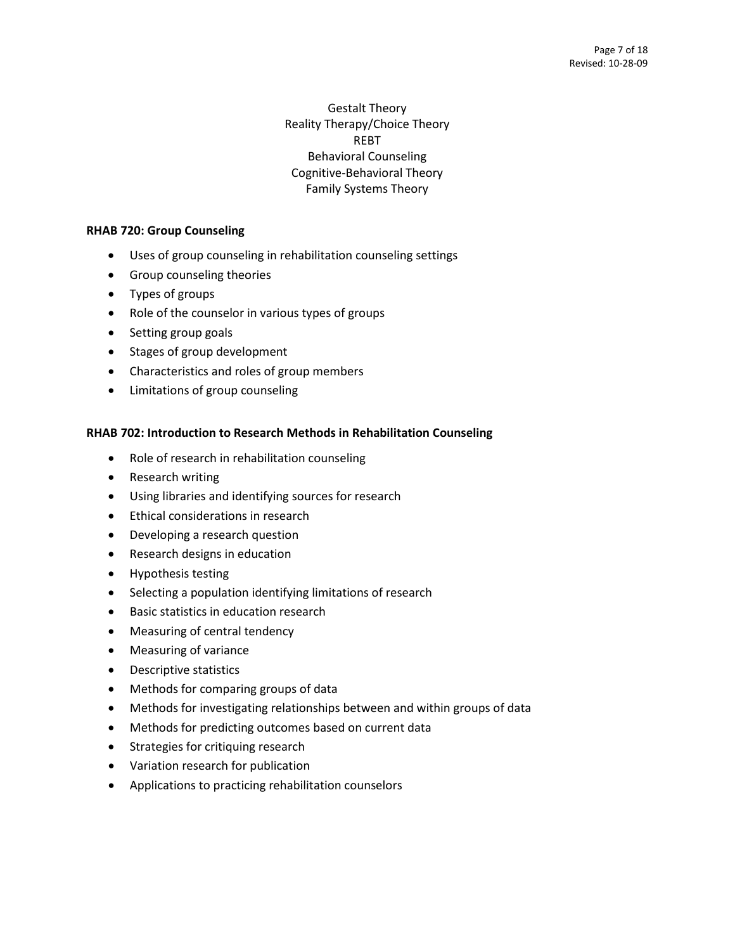# Gestalt Theory Reality Therapy/Choice Theory REBT Behavioral Counseling Cognitive-Behavioral Theory Family Systems Theory

## **RHAB 720: Group Counseling**

- Uses of group counseling in rehabilitation counseling settings
- Group counseling theories
- Types of groups
- Role of the counselor in various types of groups
- Setting group goals
- Stages of group development
- Characteristics and roles of group members
- Limitations of group counseling

# **RHAB 702: Introduction to Research Methods in Rehabilitation Counseling**

- Role of research in rehabilitation counseling
- Research writing
- Using libraries and identifying sources for research
- Ethical considerations in research
- Developing a research question
- Research designs in education
- Hypothesis testing
- Selecting a population identifying limitations of research
- Basic statistics in education research
- Measuring of central tendency
- Measuring of variance
- Descriptive statistics
- Methods for comparing groups of data
- Methods for investigating relationships between and within groups of data
- Methods for predicting outcomes based on current data
- Strategies for critiquing research
- Variation research for publication
- Applications to practicing rehabilitation counselors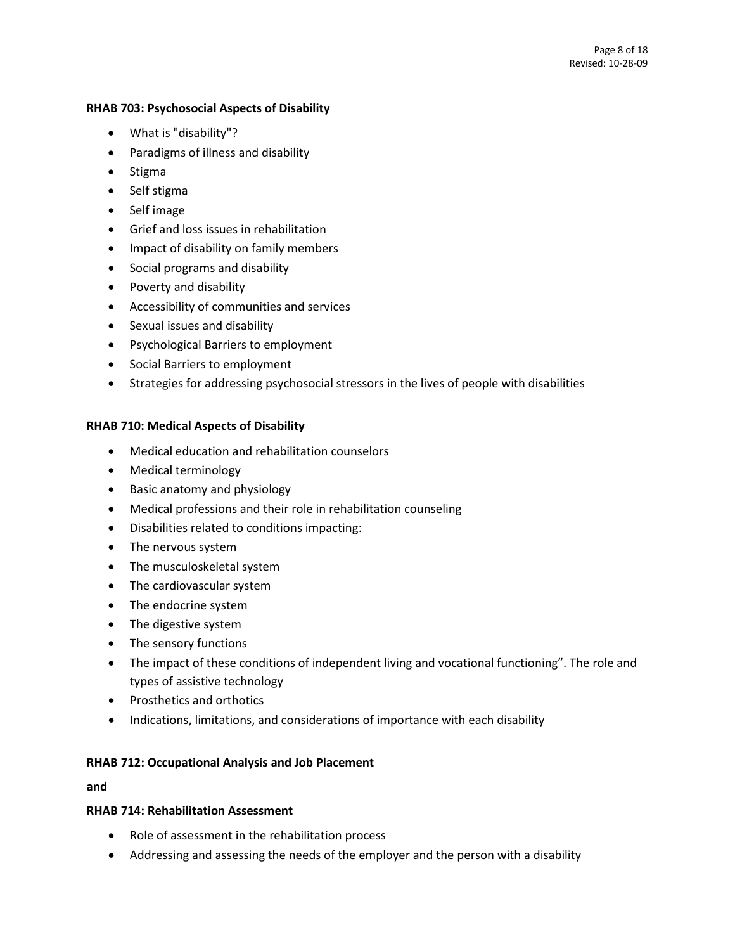### **RHAB 703: Psychosocial Aspects of Disability**

- What is "disability"?
- Paradigms of illness and disability
- Stigma
- Self stigma
- Self image
- Grief and loss issues in rehabilitation
- Impact of disability on family members
- Social programs and disability
- Poverty and disability
- Accessibility of communities and services
- Sexual issues and disability
- Psychological Barriers to employment
- Social Barriers to employment
- Strategies for addressing psychosocial stressors in the lives of people with disabilities

# **RHAB 710: Medical Aspects of Disability**

- Medical education and rehabilitation counselors
- Medical terminology
- Basic anatomy and physiology
- Medical professions and their role in rehabilitation counseling
- Disabilities related to conditions impacting:
- The nervous system
- The musculoskeletal system
- The cardiovascular system
- The endocrine system
- The digestive system
- The sensory functions
- The impact of these conditions of independent living and vocational functioning". The role and types of assistive technology
- Prosthetics and orthotics
- Indications, limitations, and considerations of importance with each disability

## **RHAB 712: Occupational Analysis and Job Placement**

**and**

## **RHAB 714: Rehabilitation Assessment**

- Role of assessment in the rehabilitation process
- Addressing and assessing the needs of the employer and the person with a disability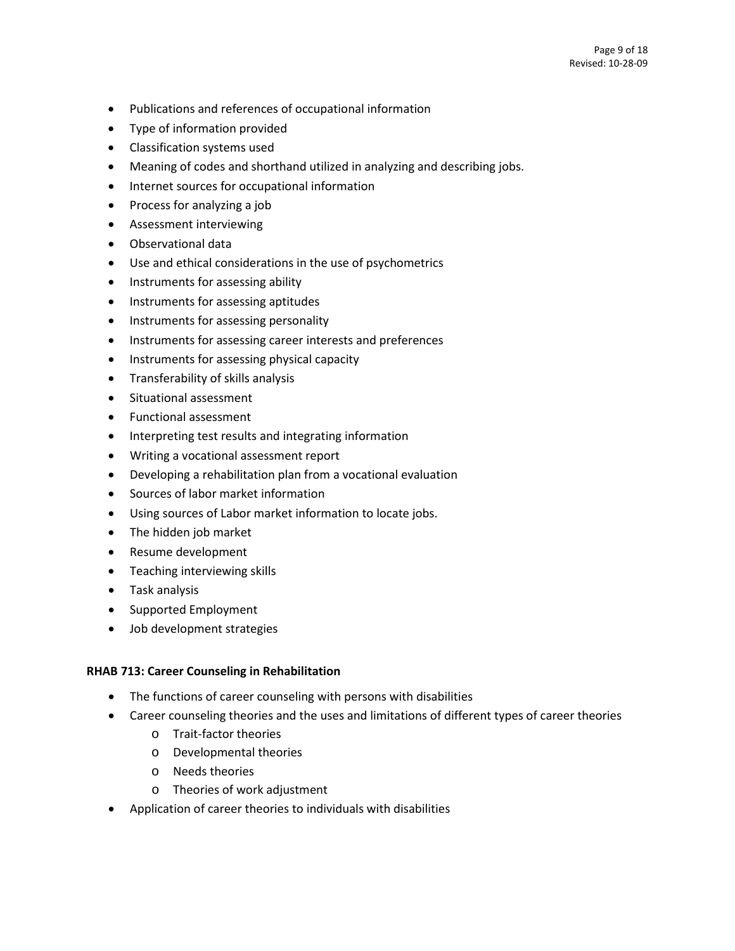- Publications and references of occupational information
- Type of information provided
- Classification systems used
- Meaning of codes and shorthand utilized in analyzing and describing jobs.
- Internet sources for occupational information
- Process for analyzing a job
- Assessment interviewing
- Observational data
- Use and ethical considerations in the use of psychometrics
- Instruments for assessing ability
- Instruments for assessing aptitudes
- Instruments for assessing personality
- Instruments for assessing career interests and preferences
- Instruments for assessing physical capacity
- Transferability of skills analysis
- Situational assessment
- Functional assessment
- Interpreting test results and integrating information
- Writing a vocational assessment report
- Developing a rehabilitation plan from a vocational evaluation
- Sources of labor market information
- Using sources of Labor market information to locate jobs.
- The hidden job market
- Resume development
- Teaching interviewing skills
- Task analysis
- Supported Employment
- Job development strategies

## **RHAB 713: Career Counseling in Rehabilitation**

- The functions of career counseling with persons with disabilities
- Career counseling theories and the uses and limitations of different types of career theories
	- o Trait-factor theories
	- o Developmental theories
	- o Needs theories
	- o Theories of work adjustment
- Application of career theories to individuals with disabilities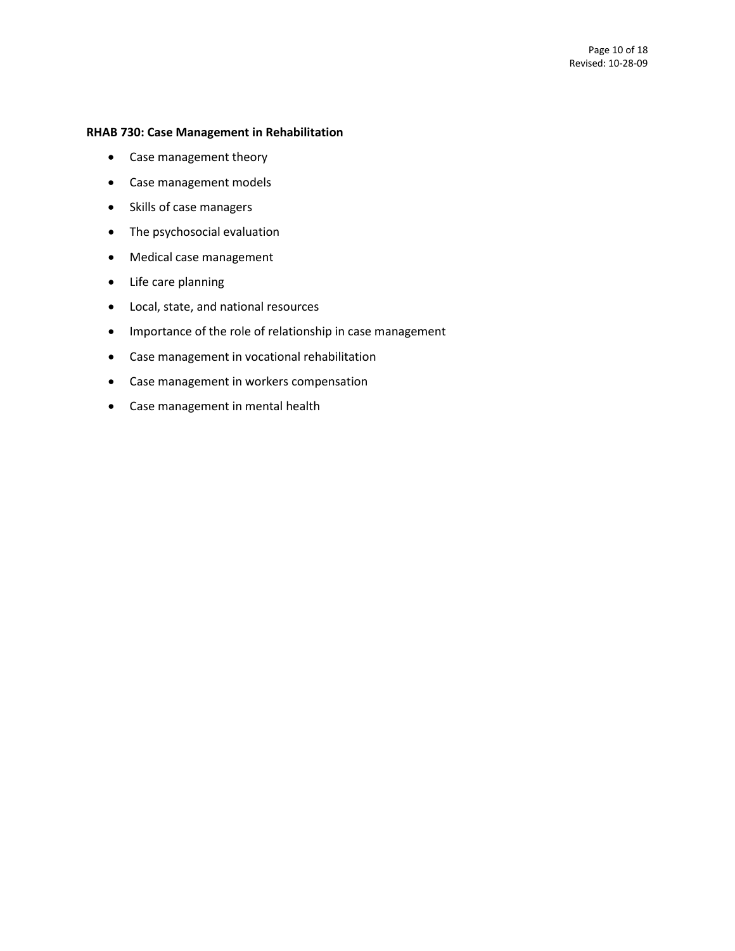### **RHAB 730: Case Management in Rehabilitation**

- Case management theory
- Case management models
- Skills of case managers
- The psychosocial evaluation
- Medical case management
- Life care planning
- Local, state, and national resources
- Importance of the role of relationship in case management
- Case management in vocational rehabilitation
- Case management in workers compensation
- Case management in mental health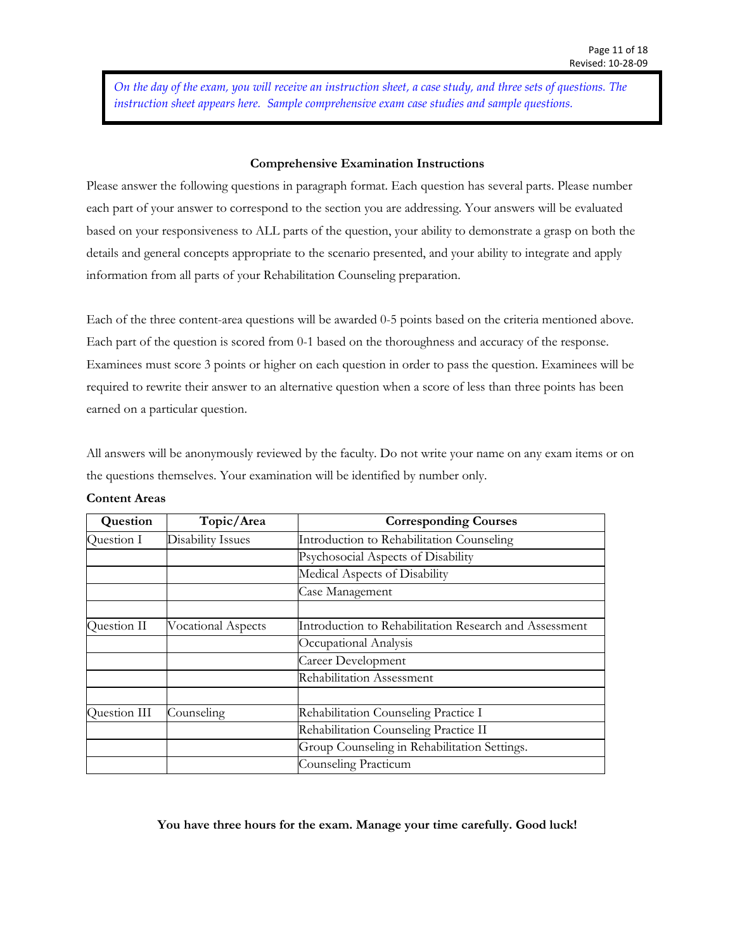*On the day of the exam, you will receive an instruction sheet, a case study, and three sets of questions. The instruction sheet appears here. Sample comprehensive exam case studies and sample questions.*

#### **Comprehensive Examination Instructions**

Please answer the following questions in paragraph format. Each question has several parts. Please number each part of your answer to correspond to the section you are addressing. Your answers will be evaluated based on your responsiveness to ALL parts of the question, your ability to demonstrate a grasp on both the details and general concepts appropriate to the scenario presented, and your ability to integrate and apply information from all parts of your Rehabilitation Counseling preparation.

Each of the three content-area questions will be awarded 0-5 points based on the criteria mentioned above. Each part of the question is scored from 0-1 based on the thoroughness and accuracy of the response. Examinees must score 3 points or higher on each question in order to pass the question. Examinees will be required to rewrite their answer to an alternative question when a score of less than three points has been earned on a particular question.

All answers will be anonymously reviewed by the faculty. Do not write your name on any exam items or on the questions themselves. Your examination will be identified by number only.

| Question     | Topic/Area                | <b>Corresponding Courses</b>                           |
|--------------|---------------------------|--------------------------------------------------------|
| Question I   | <b>Disability Issues</b>  | Introduction to Rehabilitation Counseling              |
|              |                           | Psychosocial Aspects of Disability                     |
|              |                           | Medical Aspects of Disability                          |
|              |                           | Case Management                                        |
|              |                           |                                                        |
| Question II  | <b>Vocational Aspects</b> | Introduction to Rehabilitation Research and Assessment |
|              |                           | Occupational Analysis                                  |
|              |                           | Career Development                                     |
|              |                           | Rehabilitation Assessment                              |
|              |                           |                                                        |
| Question III | Counseling                | Rehabilitation Counseling Practice I                   |
|              |                           | Rehabilitation Counseling Practice II                  |
|              |                           | Group Counseling in Rehabilitation Settings.           |
|              |                           | Counseling Practicum                                   |

#### **Content Areas**

## **You have three hours for the exam. Manage your time carefully. Good luck!**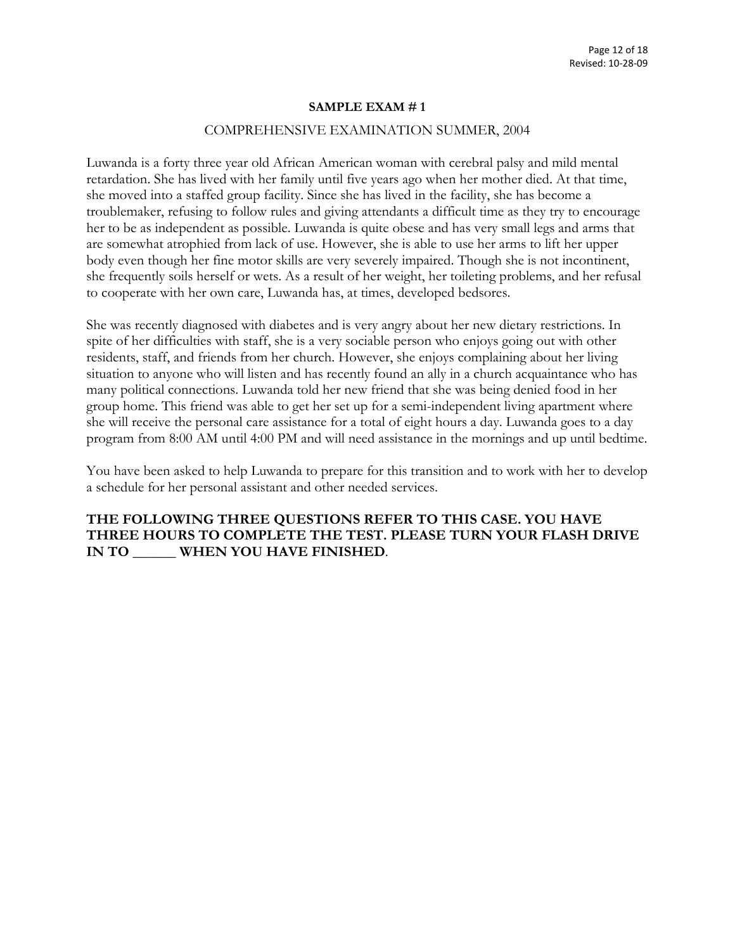#### **SAMPLE EXAM # 1**

#### COMPREHENSIVE EXAMINATION SUMMER, 2004

Luwanda is a forty three year old African American woman with cerebral palsy and mild mental retardation. She has lived with her family until five years ago when her mother died. At that time, she moved into a staffed group facility. Since she has lived in the facility, she has become a troublemaker, refusing to follow rules and giving attendants a difficult time as they try to encourage her to be as independent as possible. Luwanda is quite obese and has very small legs and arms that are somewhat atrophied from lack of use. However, she is able to use her arms to lift her upper body even though her fine motor skills are very severely impaired. Though she is not incontinent, she frequently soils herself or wets. As a result of her weight, her toileting problems, and her refusal to cooperate with her own care, Luwanda has, at times, developed bedsores.

She was recently diagnosed with diabetes and is very angry about her new dietary restrictions. In spite of her difficulties with staff, she is a very sociable person who enjoys going out with other residents, staff, and friends from her church. However, she enjoys complaining about her living situation to anyone who will listen and has recently found an ally in a church acquaintance who has many political connections. Luwanda told her new friend that she was being denied food in her group home. This friend was able to get her set up for a semi-independent living apartment where she will receive the personal care assistance for a total of eight hours a day. Luwanda goes to a day program from 8:00 AM until 4:00 PM and will need assistance in the mornings and up until bedtime.

You have been asked to help Luwanda to prepare for this transition and to work with her to develop a schedule for her personal assistant and other needed services.

# **THE FOLLOWING THREE QUESTIONS REFER TO THIS CASE. YOU HAVE THREE HOURS TO COMPLETE THE TEST. PLEASE TURN YOUR FLASH DRIVE IN TO \_\_\_\_\_\_ WHEN YOU HAVE FINISHED**.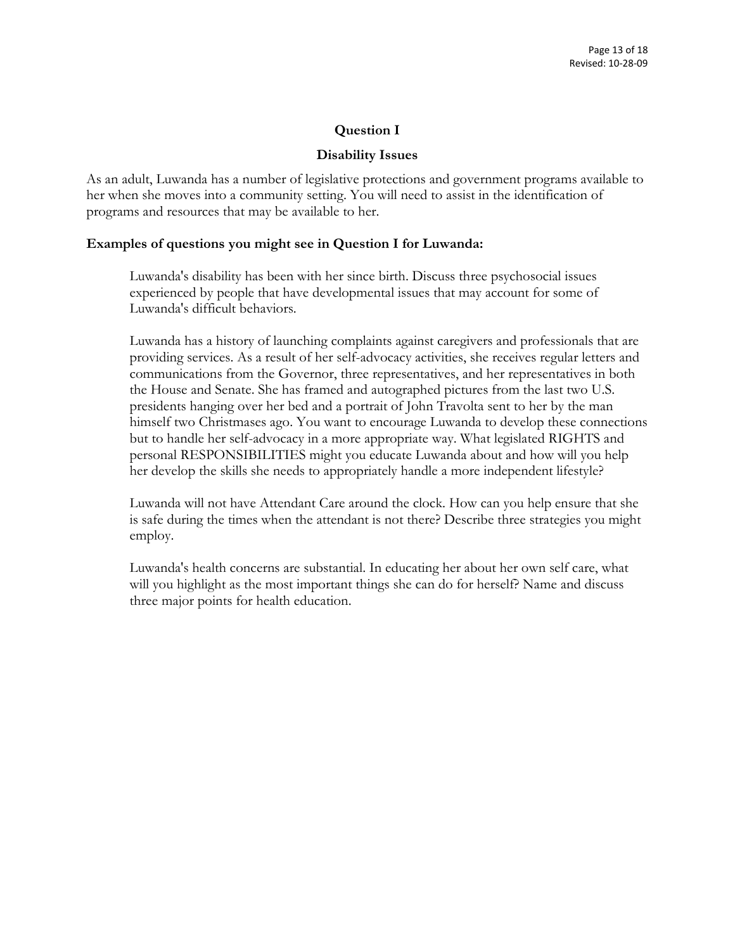# **Question I**

# **Disability Issues**

As an adult, Luwanda has a number of legislative protections and government programs available to her when she moves into a community setting. You will need to assist in the identification of programs and resources that may be available to her.

# **Examples of questions you might see in Question I for Luwanda:**

Luwanda's disability has been with her since birth. Discuss three psychosocial issues experienced by people that have developmental issues that may account for some of Luwanda's difficult behaviors.

Luwanda has a history of launching complaints against caregivers and professionals that are providing services. As a result of her self-advocacy activities, she receives regular letters and communications from the Governor, three representatives, and her representatives in both the House and Senate. She has framed and autographed pictures from the last two U.S. presidents hanging over her bed and a portrait of John Travolta sent to her by the man himself two Christmases ago. You want to encourage Luwanda to develop these connections but to handle her self-advocacy in a more appropriate way. What legislated RIGHTS and personal RESPONSIBILITIES might you educate Luwanda about and how will you help her develop the skills she needs to appropriately handle a more independent lifestyle?

Luwanda will not have Attendant Care around the clock. How can you help ensure that she is safe during the times when the attendant is not there? Describe three strategies you might employ.

Luwanda's health concerns are substantial. In educating her about her own self care, what will you highlight as the most important things she can do for herself? Name and discuss three major points for health education.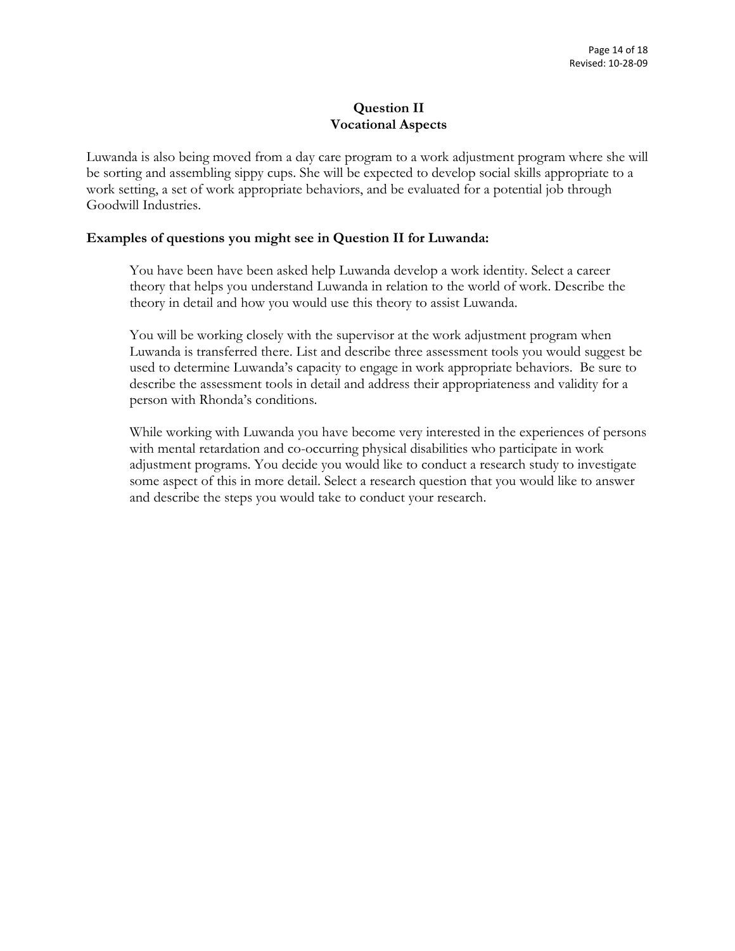# **Question II Vocational Aspects**

Luwanda is also being moved from a day care program to a work adjustment program where she will be sorting and assembling sippy cups. She will be expected to develop social skills appropriate to a work setting, a set of work appropriate behaviors, and be evaluated for a potential job through Goodwill Industries.

# **Examples of questions you might see in Question II for Luwanda:**

You have been have been asked help Luwanda develop a work identity. Select a career theory that helps you understand Luwanda in relation to the world of work. Describe the theory in detail and how you would use this theory to assist Luwanda.

You will be working closely with the supervisor at the work adjustment program when Luwanda is transferred there. List and describe three assessment tools you would suggest be used to determine Luwanda's capacity to engage in work appropriate behaviors. Be sure to describe the assessment tools in detail and address their appropriateness and validity for a person with Rhonda's conditions.

While working with Luwanda you have become very interested in the experiences of persons with mental retardation and co-occurring physical disabilities who participate in work adjustment programs. You decide you would like to conduct a research study to investigate some aspect of this in more detail. Select a research question that you would like to answer and describe the steps you would take to conduct your research.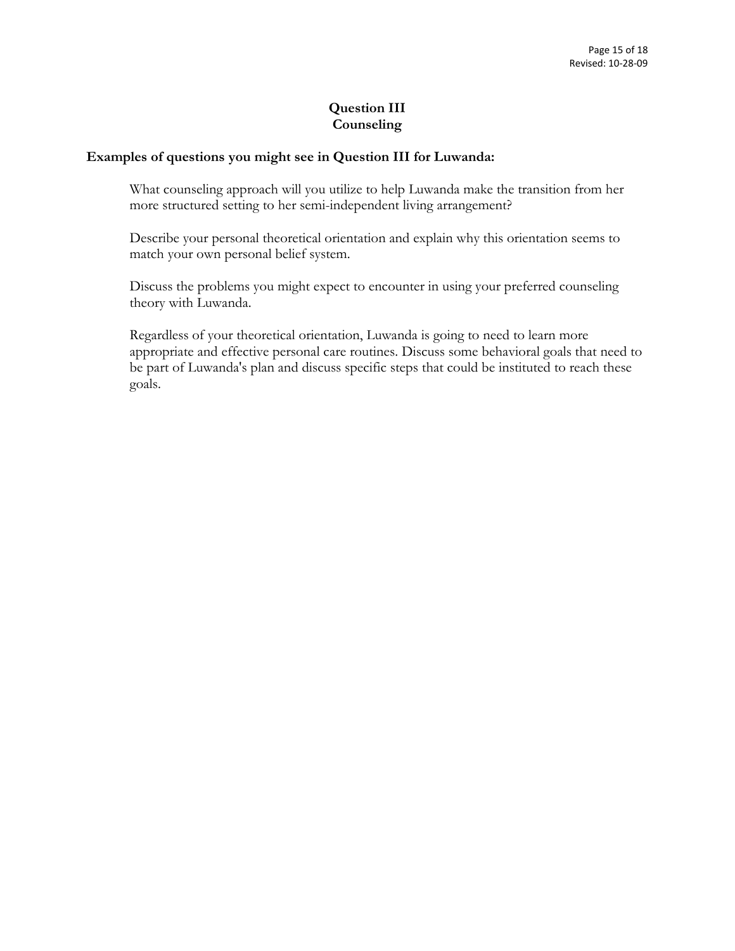# **Question III Counseling**

# **Examples of questions you might see in Question III for Luwanda:**

What counseling approach will you utilize to help Luwanda make the transition from her more structured setting to her semi-independent living arrangement?

Describe your personal theoretical orientation and explain why this orientation seems to match your own personal belief system.

Discuss the problems you might expect to encounter in using your preferred counseling theory with Luwanda.

Regardless of your theoretical orientation, Luwanda is going to need to learn more appropriate and effective personal care routines. Discuss some behavioral goals that need to be part of Luwanda's plan and discuss specific steps that could be instituted to reach these goals.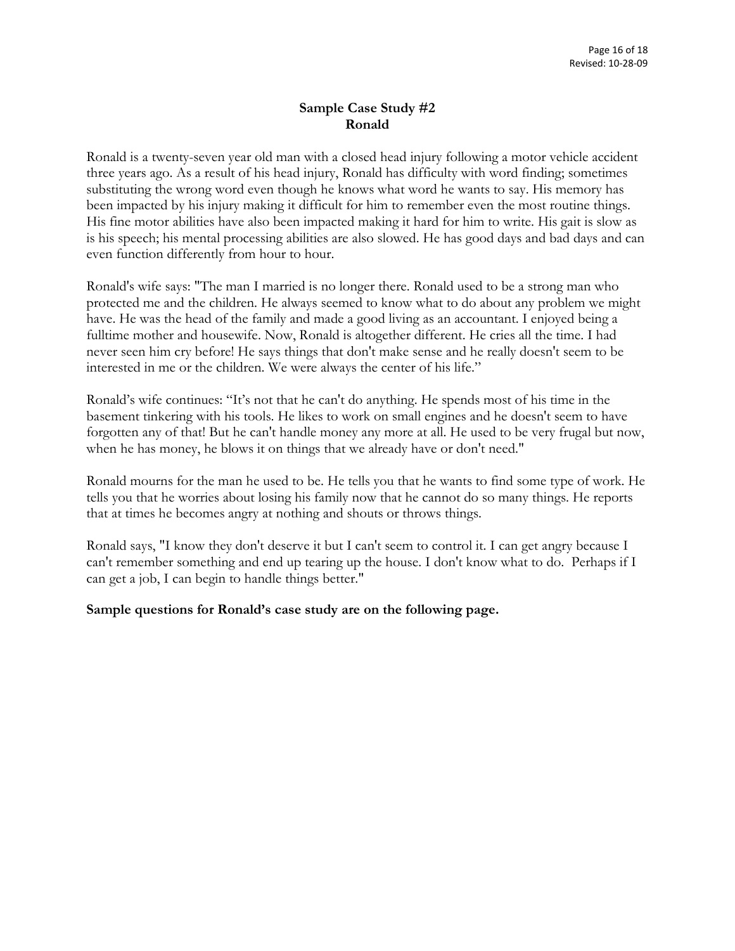# **Sample Case Study #2 Ronald**

Ronald is a twenty-seven year old man with a closed head injury following a motor vehicle accident three years ago. As a result of his head injury, Ronald has difficulty with word finding; sometimes substituting the wrong word even though he knows what word he wants to say. His memory has been impacted by his injury making it difficult for him to remember even the most routine things. His fine motor abilities have also been impacted making it hard for him to write. His gait is slow as is his speech; his mental processing abilities are also slowed. He has good days and bad days and can even function differently from hour to hour.

Ronald's wife says: "The man I married is no longer there. Ronald used to be a strong man who protected me and the children. He always seemed to know what to do about any problem we might have. He was the head of the family and made a good living as an accountant. I enjoyed being a fulltime mother and housewife. Now, Ronald is altogether different. He cries all the time. I had never seen him cry before! He says things that don't make sense and he really doesn't seem to be interested in me or the children. We were always the center of his life."

Ronald's wife continues: "It's not that he can't do anything. He spends most of his time in the basement tinkering with his tools. He likes to work on small engines and he doesn't seem to have forgotten any of that! But he can't handle money any more at all. He used to be very frugal but now, when he has money, he blows it on things that we already have or don't need."

Ronald mourns for the man he used to be. He tells you that he wants to find some type of work. He tells you that he worries about losing his family now that he cannot do so many things. He reports that at times he becomes angry at nothing and shouts or throws things.

Ronald says, "I know they don't deserve it but I can't seem to control it. I can get angry because I can't remember something and end up tearing up the house. I don't know what to do. Perhaps if I can get a job, I can begin to handle things better."

## **Sample questions for Ronald's case study are on the following page.**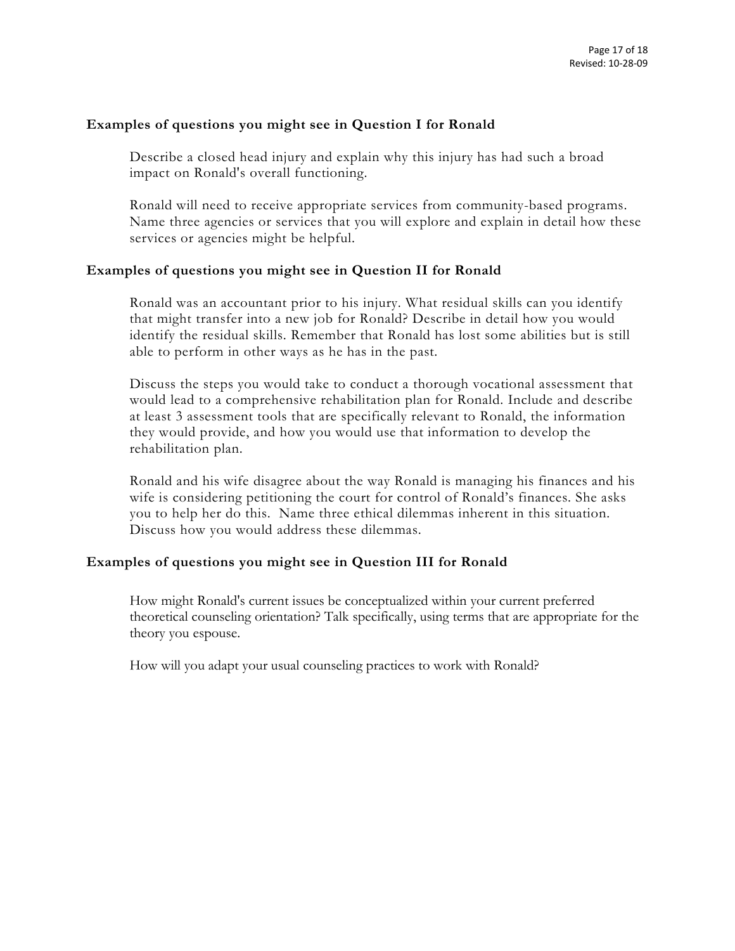## **Examples of questions you might see in Question I for Ronald**

Describe a closed head injury and explain why this injury has had such a broad impact on Ronald's overall functioning.

Ronald will need to receive appropriate services from community-based programs. Name three agencies or services that you will explore and explain in detail how these services or agencies might be helpful.

# **Examples of questions you might see in Question II for Ronald**

Ronald was an accountant prior to his injury. What residual skills can you identify that might transfer into a new job for Ronald? Describe in detail how you would identify the residual skills. Remember that Ronald has lost some abilities but is still able to perform in other ways as he has in the past.

Discuss the steps you would take to conduct a thorough vocational assessment that would lead to a comprehensive rehabilitation plan for Ronald. Include and describe at least 3 assessment tools that are specifically relevant to Ronald, the information they would provide, and how you would use that information to develop the rehabilitation plan.

Ronald and his wife disagree about the way Ronald is managing his finances and his wife is considering petitioning the court for control of Ronald's finances. She asks you to help her do this. Name three ethical dilemmas inherent in this situation. Discuss how you would address these dilemmas.

# **Examples of questions you might see in Question III for Ronald**

How might Ronald's current issues be conceptualized within your current preferred theoretical counseling orientation? Talk specifically, using terms that are appropriate for the theory you espouse.

How will you adapt your usual counseling practices to work with Ronald?